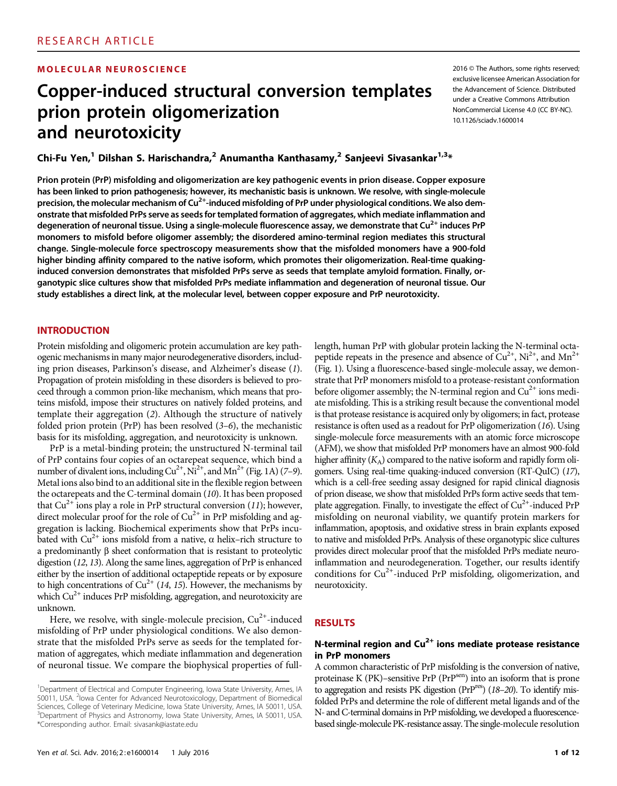### MOLECULAR NEUROSCIENCE 2016 CHE 2016 © The Authors, some rights reserved;

# Copper-induced structural conversion templates prion protein oligomerization and neurotoxicity

exclusive licensee American Association for the Advancement of Science. Distributed under a Creative Commons Attribution NonCommercial License 4.0 (CC BY-NC). 10.1126/sciadv.1600014

Chi-Fu Yen,<sup>1</sup> Dilshan S. Harischandra,<sup>2</sup> Anumantha Kanthasamy,<sup>2</sup> Sanjeevi Sivasankar<sup>1,3</sup>\*

Prion protein (PrP) misfolding and oligomerization are key pathogenic events in prion disease. Copper exposure has been linked to prion pathogenesis; however, its mechanistic basis is unknown. We resolve, with single-molecule precision, the molecular mechanism of Cu<sup>2+</sup>-induced misfolding of PrP under physiological conditions. We also demonstrate that misfolded PrPs serve as seeds for templated formation of aggregates, which mediate inflammation and degeneration of neuronal tissue. Using a single-molecule fluorescence assay, we demonstrate that Cu<sup>2+</sup> induces PrP monomers to misfold before oligomer assembly; the disordered amino-terminal region mediates this structural change. Single-molecule force spectroscopy measurements show that the misfolded monomers have a 900-fold higher binding affinity compared to the native isoform, which promotes their oligomerization. Real-time quakinginduced conversion demonstrates that misfolded PrPs serve as seeds that template amyloid formation. Finally, organotypic slice cultures show that misfolded PrPs mediate inflammation and degeneration of neuronal tissue. Our study establishes a direct link, at the molecular level, between copper exposure and PrP neurotoxicity.

#### **INTRODUCTION**

Protein misfolding and oligomeric protein accumulation are key pathogenic mechanisms in many major neurodegenerative disorders, including prion diseases, Parkinson's disease, and Alzheimer's disease (1). Propagation of protein misfolding in these disorders is believed to proceed through a common prion-like mechanism, which means that proteins misfold, impose their structures on natively folded proteins, and template their aggregation (2). Although the structure of natively folded prion protein (PrP) has been resolved (3–6), the mechanistic basis for its misfolding, aggregation, and neurotoxicity is unknown.

PrP is a metal-binding protein; the unstructured N-terminal tail of PrP contains four copies of an octarepeat sequence, which bind a number of divalent ions, including  $Cu^{2+}$ , Ni<sup>2+</sup>, and Mn<sup>2+</sup> (Fig. 1A) (7–9). Metal ions also bind to an additional site in the flexible region between the octarepeats and the C-terminal domain (10). It has been proposed that  $Cu^{2+}$  ions play a role in PrP structural conversion (11); however, direct molecular proof for the role of  $Cu^{2+}$  in PrP misfolding and aggregation is lacking. Biochemical experiments show that PrPs incubated with Cu<sup>2+</sup> ions misfold from a native,  $\alpha$  helix-rich structure to a predominantly  $\beta$  sheet conformation that is resistant to proteolytic digestion (12, 13). Along the same lines, aggregation of PrP is enhanced either by the insertion of additional octapeptide repeats or by exposure to high concentrations of Cu<sup>2+</sup> (14, 15). However, the mechanisms by which  $Cu^{2+}$  induces PrP misfolding, aggregation, and neurotoxicity are unknown.

Here, we resolve, with single-molecule precision,  $Cu^{2+}$ -induced misfolding of PrP under physiological conditions. We also demonstrate that the misfolded PrPs serve as seeds for the templated formation of aggregates, which mediate inflammation and degeneration of neuronal tissue. We compare the biophysical properties of full-

length, human PrP with globular protein lacking the N-terminal octapeptide repeats in the presence and absence of  $Cu^{2+}$ , Ni<sup>2+</sup>, and Mn<sup>2+</sup> (Fig. 1). Using a fluorescence-based single-molecule assay, we demonstrate that PrP monomers misfold to a protease-resistant conformation before oligomer assembly; the N-terminal region and  $Cu^{2+}$  ions mediate misfolding. This is a striking result because the conventional model is that protease resistance is acquired only by oligomers; in fact, protease resistance is often used as a readout for PrP oligomerization (16). Using single-molecule force measurements with an atomic force microscope (AFM), we show that misfolded PrP monomers have an almost 900-fold higher affinity  $(K_A)$  compared to the native isoform and rapidly form oligomers. Using real-time quaking-induced conversion (RT-QuIC) (17), which is a cell-free seeding assay designed for rapid clinical diagnosis of prion disease, we show that misfolded PrPs form active seeds that template aggregation. Finally, to investigate the effect of  $Cu<sup>2+</sup>$ -induced PrP misfolding on neuronal viability, we quantify protein markers for inflammation, apoptosis, and oxidative stress in brain explants exposed to native and misfolded PrPs. Analysis of these organotypic slice cultures provides direct molecular proof that the misfolded PrPs mediate neuroinflammation and neurodegeneration. Together, our results identify conditions for  $Cu^{2+}$ -induced PrP misfolding, oligomerization, and neurotoxicity.

## RESULTS

## N-terminal region and  $Cu<sup>2+</sup>$  ions mediate protease resistance in PrP monomers

A common characteristic of PrP misfolding is the conversion of native, proteinase K (PK)–sensitive PrP (PrP<sup>sen</sup>) into an isoform that is prone to aggregation and resists PK digestion (PrPres) (18-20). To identify misfolded PrPs and determine the role of different metal ligands and of the N- and C-terminal domains in PrP misfolding, we developed a fluorescencebased single-molecule PK-resistance assay. The single-molecule resolution

<sup>&</sup>lt;sup>1</sup>Department of Electrical and Computer Engineering, Iowa State University, Ames, IA 50011, USA. <sup>2</sup>lowa Center for Advanced Neurotoxicology, Department of Biomedical Sciences, College of Veterinary Medicine, Iowa State University, Ames, IA 50011, USA. <sup>3</sup>Department of Physics and Astronomy, Iowa State University, Ames, IA 50011, USA. \*Corresponding author. Email: sivasank@iastate.edu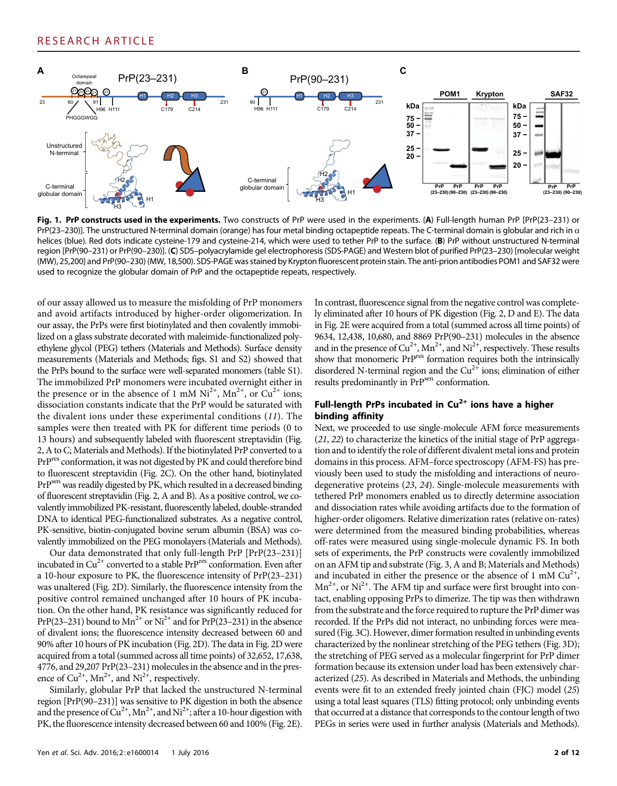

Fig. 1. PrP constructs used in the experiments. Two constructs of PrP were used in the experiments. (A) Full-length human PrP [PrP(23-231) or PrP(23–230)]. The unstructured N-terminal domain (orange) has four metal binding octapeptide repeats. The C-terminal domain is globular and rich in  $\alpha$ helices (blue). Red dots indicate cysteine-179 and cysteine-214, which were used to tether PrP to the surface. (B) PrP without unstructured N-terminal region [PrP(90–231) or PrP(90–230)]. (C) SDS–polyacrylamide gel electrophoresis (SDS-PAGE) and Western blot of purified PrP(23–230) [molecular weight (MW), 25,200] and PrP(90–230) (MW, 18,500). SDS-PAGE was stained by Krypton fluorescent protein stain. The anti-prion antibodies POM1 and SAF32 were used to recognize the globular domain of PrP and the octapeptide repeats, respectively.

of our assay allowed us to measure the misfolding of PrP monomers and avoid artifacts introduced by higher-order oligomerization. In our assay, the PrPs were first biotinylated and then covalently immobilized on a glass substrate decorated with maleimide-functionalized polyethylene glycol (PEG) tethers (Materials and Methods). Surface density measurements (Materials and Methods; figs. S1 and S2) showed that the PrPs bound to the surface were well-separated monomers (table S1). The immobilized PrP monomers were incubated overnight either in the presence or in the absence of 1 mM  $Ni^{2+}$ ,  $Mn^{2+}$ , or  $Cu^{2+}$  ions; dissociation constants indicate that the PrP would be saturated with the divalent ions under these experimental conditions (11). The samples were then treated with PK for different time periods (0 to 13 hours) and subsequently labeled with fluorescent streptavidin (Fig. 2, A to C; Materials and Methods). If the biotinylated PrP converted to a PrPres conformation, it was not digested by PK and could therefore bind to fluorescent streptavidin (Fig. 2C). On the other hand, biotinylated PrP<sup>sen</sup> was readily digested by PK, which resulted in a decreased binding of fluorescent streptavidin (Fig. 2, A and B). As a positive control, we covalently immobilized PK-resistant, fluorescently labeled, double-stranded DNA to identical PEG-functionalized substrates. As a negative control, PK-sensitive, biotin-conjugated bovine serum albumin (BSA) was covalently immobilized on the PEG monolayers (Materials and Methods).

Our data demonstrated that only full-length PrP [PrP(23–231)] incubated in  $Cu^{2+}$  converted to a stable  $PrP<sup>res</sup>$  conformation. Even after a 10-hour exposure to PK, the fluorescence intensity of PrP(23–231) was unaltered (Fig. 2D). Similarly, the fluorescence intensity from the positive control remained unchanged after 10 hours of PK incubation. On the other hand, PK resistance was significantly reduced for PrP(23–231) bound to  $Mn^{2+}$  or  $Ni^{2+}$  and for PrP(23–231) in the absence of divalent ions; the fluorescence intensity decreased between 60 and 90% after 10 hours of PK incubation (Fig. 2D). The data in Fig. 2D were acquired from a total (summed across all time points) of 32,652, 17,638, 4776, and 29,207 PrP(23–231) molecules in the absence and in the presence of  $Cu^{2+}$ , Mn<sup>2+</sup>, and Ni<sup>2+</sup>, respectively.

Similarly, globular PrP that lacked the unstructured N-terminal region [PrP(90–231)] was sensitive to PK digestion in both the absence and the presence of  $Cu^{2+}$ , Mn<sup>2+</sup>, and Ni<sup>2+</sup>; after a 10-hour digestion with PK, the fluorescence intensity decreased between 60 and 100% (Fig. 2E).

In contrast, fluorescence signal from the negative control was completely eliminated after 10 hours of PK digestion (Fig. 2, D and E). The data in Fig. 2E were acquired from a total (summed across all time points) of 9634, 12,438, 10,680, and 8869 PrP(90–231) molecules in the absence and in the presence of  $Cu^{2+}$ ,  $Mn^{2+}$ , and  $Ni^{2+}$ , respectively. These results show that monomeric PrP<sup>res</sup> formation requires both the intrinsically disordered N-terminal region and the  $Cu^{2+}$  ions; elimination of either results predominantly in PrP<sup>sen</sup> conformation.

## Full-length PrPs incubated in  $Cu<sup>2+</sup>$  ions have a higher binding affinity

Next, we proceeded to use single-molecule AFM force measurements (21, 22) to characterize the kinetics of the initial stage of PrP aggregation and to identify the role of different divalent metal ions and protein domains in this process. AFM–force spectroscopy (AFM-FS) has previously been used to study the misfolding and interactions of neurodegenerative proteins (23, 24). Single-molecule measurements with tethered PrP monomers enabled us to directly determine association and dissociation rates while avoiding artifacts due to the formation of higher-order oligomers. Relative dimerization rates (relative on-rates) were determined from the measured binding probabilities, whereas off-rates were measured using single-molecule dynamic FS. In both sets of experiments, the PrP constructs were covalently immobilized on an AFM tip and substrate (Fig. 3, A and B; Materials and Methods) and incubated in either the presence or the absence of 1 mM  $Cu^{2+}$ ,  $Mn^{2+}$ , or Ni<sup>2+</sup>. The AFM tip and surface were first brought into contact, enabling opposing PrPs to dimerize. The tip was then withdrawn from the substrate and the force required to rupture the PrP dimer was recorded. If the PrPs did not interact, no unbinding forces were measured (Fig. 3C). However, dimer formation resulted in unbinding events characterized by the nonlinear stretching of the PEG tethers (Fig. 3D); the stretching of PEG served as a molecular fingerprint for PrP dimer formation because its extension under load has been extensively characterized (25). As described in Materials and Methods, the unbinding events were fit to an extended freely jointed chain (FJC) model (25) using a total least squares (TLS) fitting protocol; only unbinding events that occurred at a distance that corresponds to the contour length of two PEGs in series were used in further analysis (Materials and Methods).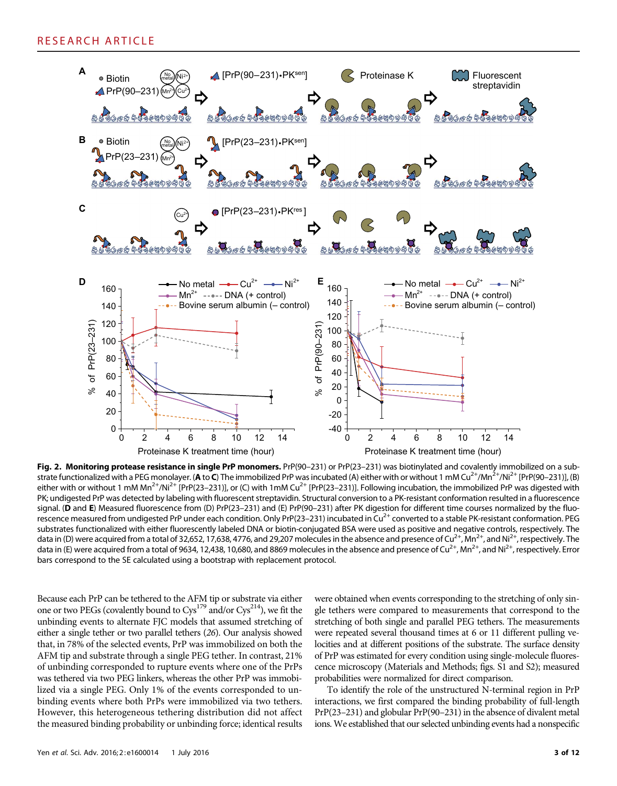

Fig. 2. Monitoring protease resistance in single PrP monomers. PrP(90-231) or PrP(23-231) was biotinylated and covalently immobilized on a substrate functionalized with a PEG monolayer. (A to C) The immobilized PrP was incubated (A) either with or without 1 mM Cu<sup>2+</sup>/Mn<sup>2+</sup>/Ni<sup>2+</sup> [PrP(90-231)], (B) either with or without 1 mM Mn<sup>2+</sup>/Ni<sup>2+</sup> [PrP(23–231)], or (C) with 1mM Cu<sup>2+</sup> [PrP(23–231)]. Following incubation, the immobilized PrP was digested with PK; undigested PrP was detected by labeling with fluorescent streptavidin. Structural conversion to a PK-resistant conformation resulted in a fluorescence signal. (D and E) Measured fluorescence from (D) PrP(23-231) and (E) PrP(90-231) after PK digestion for different time courses normalized by the fluorescence measured from undigested PrP under each condition. Only PrP(23–231) incubated in Cu<sup>2+</sup> converted to a stable PK-resistant conformation. PEG substrates functionalized with either fluorescently labeled DNA or biotin-conjugated BSA were used as positive and negative controls, respectively. The data in (D) were acquired from a total of 32,652, 17,638, 4776, and 29,207 molecules in the absence and presence of  $Cu^{2+}$ , Mn<sup>2+</sup>, and Ni<sup>2+</sup>, respectively. The data in (E) were acquired from a total of 9634, 12,438, 10,680, and 8869 molecules in the absence and presence of Cu<sup>2+</sup>, Mn<sup>2+</sup>, and Ni<sup>2+</sup>, respectively. Error bars correspond to the SE calculated using a bootstrap with replacement protocol.

Because each PrP can be tethered to the AFM tip or substrate via either one or two PEGs (covalently bound to  $Cys^{179}$  and/or  $Cys^{214}$ ), we fit the unbinding events to alternate FJC models that assumed stretching of either a single tether or two parallel tethers (26). Our analysis showed that, in 78% of the selected events, PrP was immobilized on both the AFM tip and substrate through a single PEG tether. In contrast, 21% of unbinding corresponded to rupture events where one of the PrPs was tethered via two PEG linkers, whereas the other PrP was immobilized via a single PEG. Only 1% of the events corresponded to unbinding events where both PrPs were immobilized via two tethers. However, this heterogeneous tethering distribution did not affect the measured binding probability or unbinding force; identical results

were obtained when events corresponding to the stretching of only single tethers were compared to measurements that correspond to the stretching of both single and parallel PEG tethers. The measurements were repeated several thousand times at 6 or 11 different pulling velocities and at different positions of the substrate. The surface density of PrP was estimated for every condition using single-molecule fluorescence microscopy (Materials and Methods; figs. S1 and S2); measured probabilities were normalized for direct comparison.

To identify the role of the unstructured N-terminal region in PrP interactions, we first compared the binding probability of full-length PrP(23–231) and globular PrP(90–231) in the absence of divalent metal ions. We established that our selected unbinding events had a nonspecific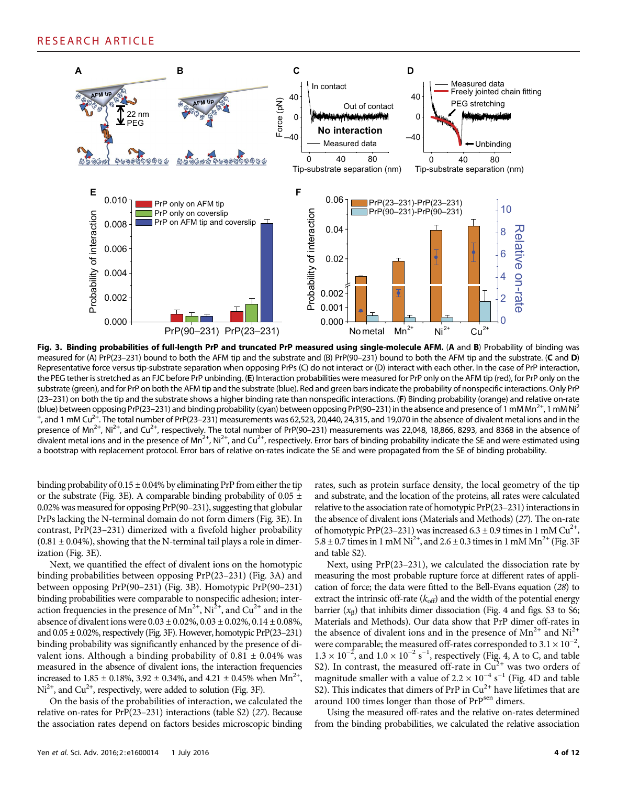

Fig. 3. Binding probabilities of full-length PrP and truncated PrP measured using single-molecule AFM. (A and B) Probability of binding was measured for (A) PrP(23–231) bound to both the AFM tip and the substrate and (B) PrP(90–231) bound to both the AFM tip and the substrate. (C and D) Representative force versus tip-substrate separation when opposing PrPs (C) do not interact or (D) interact with each other. In the case of PrP interaction, the PEG tether is stretched as an FJC before PrP unbinding. (E) Interaction probabilities were measured for PrP only on the AFM tip (red), for PrP only on the substrate (green), and for PrP on both the AFM tip and the substrate (blue). Red and green bars indicate the probability of nonspecific interactions. Only PrP (23–231) on both the tip and the substrate shows a higher binding rate than nonspecific interactions. (F) Binding probability (orange) and relative on-rate (blue) between opposing PrP(23–231) and binding probability (cyan) between opposing PrP(90–231) in the absence and presence of 1 mM Mn<sup>2+</sup>, 1 mM Ni<sup>2</sup>  $^+$ , and 1 mM Cu<sup>2+</sup>. The total number of PrP(23–231) measurements was 62,523, 20,440, 24,315, and 19,070 in the absence of divalent metal ions and in the presence of Mn<sup>2+</sup>, Ni<sup>2+</sup>, and Cu<sup>2+</sup>, respectively. The total number of PrP(90–231) measurements was 22,048, 18,866, 8293, and 8368 in the absence of divalent metal ions and in the presence of Mn<sup>2+</sup>, Ni<sup>2+</sup>, and Cu<sup>2+</sup>, respectively. Error bars of binding probability indicate the SE and were estimated using a bootstrap with replacement protocol. Error bars of relative on-rates indicate the SE and were propagated from the SE of binding probability.

binding probability of  $0.15 \pm 0.04\%$  by eliminating PrP from either the tip or the substrate (Fig. 3E). A comparable binding probability of 0.05  $\pm$ 0.02% was measured for opposing PrP(90–231), suggesting that globular PrPs lacking the N-terminal domain do not form dimers (Fig. 3E). In contrast, PrP(23–231) dimerized with a fivefold higher probability  $(0.81 \pm 0.04\%)$ , showing that the N-terminal tail plays a role in dimerization (Fig. 3E).

Next, we quantified the effect of divalent ions on the homotypic binding probabilities between opposing PrP(23–231) (Fig. 3A) and between opposing PrP(90–231) (Fig. 3B). Homotypic PrP(90–231) binding probabilities were comparable to nonspecific adhesion; interaction frequencies in the presence of  $Mn^{2+}$ ,  $Ni^{2+}$ , and  $Cu^{2+}$  and in the absence of divalent ions were  $0.03 \pm 0.02\%$ ,  $0.03 \pm 0.02\%$ ,  $0.14 \pm 0.08\%$ , and  $0.05 \pm 0.02$ %, respectively (Fig. 3F). However, homotypic PrP(23-231) binding probability was significantly enhanced by the presence of divalent ions. Although a binding probability of  $0.81 \pm 0.04\%$  was measured in the absence of divalent ions, the interaction frequencies increased to 1.85  $\pm$  0.18%, 3.92  $\pm$  0.34%, and 4.21  $\pm$  0.45% when Mn<sup>2+</sup>,  $Ni<sup>2+</sup>$ , and Cu<sup>2+</sup>, respectively, were added to solution (Fig. 3F).

On the basis of the probabilities of interaction, we calculated the relative on-rates for PrP(23–231) interactions (table S2) (27). Because the association rates depend on factors besides microscopic binding

rates, such as protein surface density, the local geometry of the tip and substrate, and the location of the proteins, all rates were calculated relative to the association rate of homotypic PrP(23–231) interactions in the absence of divalent ions (Materials and Methods) (27). The on-rate of homotypic PrP(23–231) was increased 6.3  $\pm$  0.9 times in 1 mM Cu<sup>2+</sup>,  $5.8 \pm 0.7$  times in 1 mM Ni<sup>2+</sup>, and 2.6  $\pm$  0.3 times in 1 mM Mn<sup>2+</sup> (Fig. 3F) and table S2).

Next, using PrP(23–231), we calculated the dissociation rate by measuring the most probable rupture force at different rates of application of force; the data were fitted to the Bell-Evans equation (28) to extract the intrinsic off-rate  $(k_{off})$  and the width of the potential energy barrier  $(x_B)$  that inhibits dimer dissociation (Fig. 4 and figs. S3 to S6; Materials and Methods). Our data show that PrP dimer off-rates in the absence of divalent ions and in the presence of  $Mn^{2+}$  and  $Ni^{2+}$ were comparable; the measured off-rates corresponded to  $3.1 \times 10^{-2}$ ,  $1.3 \times 10^{-2}$ , and  $1.0 \times 10^{-2}$  s<sup>-1</sup>, respectively (Fig. 4, A to C, and table S2). In contrast, the measured off-rate in  $Cu^{2+}$  was two orders of magnitude smaller with a value of 2.2  $\times$  10<sup>-4</sup> s<sup>-1</sup> (Fig. 4D and table S2). This indicates that dimers of PrP in  $Cu^{2+}$  have lifetimes that are around 100 times longer than those of PrP<sup>sen</sup> dimers.

Using the measured off-rates and the relative on-rates determined from the binding probabilities, we calculated the relative association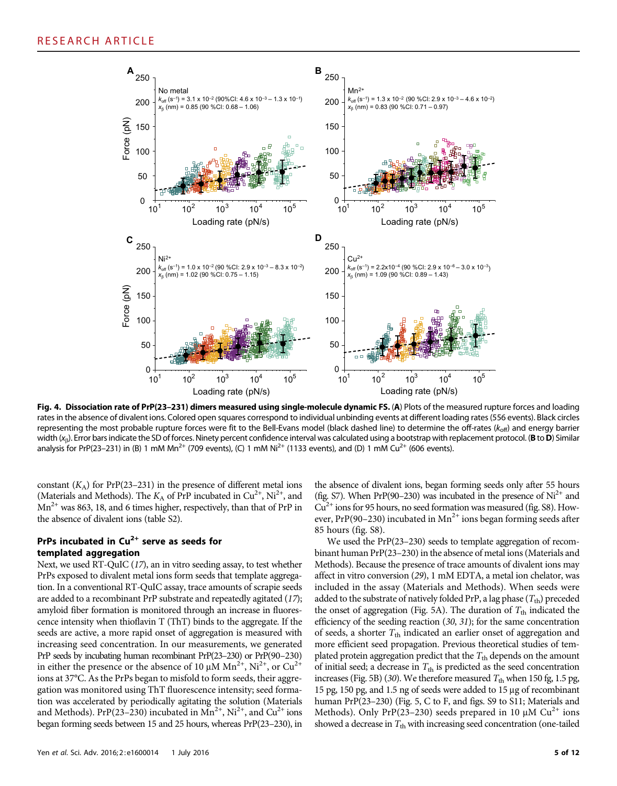

Fig. 4. Dissociation rate of PrP(23-231) dimers measured using single-molecule dynamic FS. (A) Plots of the measured rupture forces and loading rates in the absence of divalent ions. Colored open squares correspond to individual unbinding events at different loading rates (556 events). Black circles representing the most probable rupture forces were fit to the Bell-Evans model (black dashed line) to determine the off-rates ( $k_{off}$ ) and energy barrier width  $(x_\beta)$ . Error bars indicate the SD of forces. Ninety percent confidence interval was calculated using a bootstrap with replacement protocol. (B to D) Similar analysis for PrP(23–231) in (B) 1 mM Mn<sup>2+</sup> (709 events), (C) 1 mM Ni<sup>2+</sup> (1133 events), and (D) 1 mM Cu<sup>2+</sup> (606 events).

constant  $(K_A)$  for PrP(23–231) in the presence of different metal ions (Materials and Methods). The  $K_A$  of PrP incubated in Cu<sup>2+</sup>, Ni<sup>2+</sup>, and  $Mn^{2+}$  was 863, 18, and 6 times higher, respectively, than that of PrP in the absence of divalent ions (table S2).

## PrPs incubated in  $Cu^{2+}$  serve as seeds for templated aggregation

Next, we used RT-QuIC (17), an in vitro seeding assay, to test whether PrPs exposed to divalent metal ions form seeds that template aggregation. In a conventional RT-QuIC assay, trace amounts of scrapie seeds are added to a recombinant PrP substrate and repeatedly agitated (17); amyloid fiber formation is monitored through an increase in fluorescence intensity when thioflavin T (ThT) binds to the aggregate. If the seeds are active, a more rapid onset of aggregation is measured with increasing seed concentration. In our measurements, we generated PrP seeds by incubating human recombinant PrP(23–230) or PrP(90–230) in either the presence or the absence of 10  $\mu$ M Mn<sup>2+</sup>, Ni<sup>2+</sup>, or Cu<sup>2+</sup> ions at 37°C. As the PrPs began to misfold to form seeds, their aggregation was monitored using ThT fluorescence intensity; seed formation was accelerated by periodically agitating the solution (Materials and Methods). PrP(23–230) incubated in  $Mn^{2+}$ , Ni<sup>2+</sup>, and Cu<sup>2+</sup> ions began forming seeds between 15 and 25 hours, whereas PrP(23–230), in

the absence of divalent ions, began forming seeds only after 55 hours (fig. S7). When PrP(90–230) was incubated in the presence of  $Ni<sup>2+</sup>$  and  $Cu<sup>2+</sup>$  ions for 95 hours, no seed formation was measured (fig. S8). However, PrP(90–230) incubated in  $Mn^{2+}$  ions began forming seeds after 85 hours (fig. S8).

We used the PrP(23–230) seeds to template aggregation of recombinant human PrP(23–230) in the absence of metal ions (Materials and Methods). Because the presence of trace amounts of divalent ions may affect in vitro conversion (29), 1 mM EDTA, a metal ion chelator, was included in the assay (Materials and Methods). When seeds were added to the substrate of natively folded PrP, a lag phase  $(T_{th})$  preceded the onset of aggregation (Fig. 5A). The duration of  $T_{\text{th}}$  indicated the efficiency of the seeding reaction (30, 31); for the same concentration of seeds, a shorter  $T_{\text{th}}$  indicated an earlier onset of aggregation and more efficient seed propagation. Previous theoretical studies of templated protein aggregation predict that the  $T_{th}$  depends on the amount of initial seed; a decrease in  $T_{\text{th}}$  is predicted as the seed concentration increases (Fig. 5B) (30). We therefore measured  $T_{\text{th}}$  when 150 fg, 1.5 pg, 15 pg, 150 pg, and 1.5 ng of seeds were added to 15 µg of recombinant human PrP(23-230) (Fig. 5, C to F, and figs. S9 to S11; Materials and Methods). Only PrP(23-230) seeds prepared in 10  $\mu$ M Cu<sup>2+</sup> ions showed a decrease in  $T_{\text{th}}$  with increasing seed concentration (one-tailed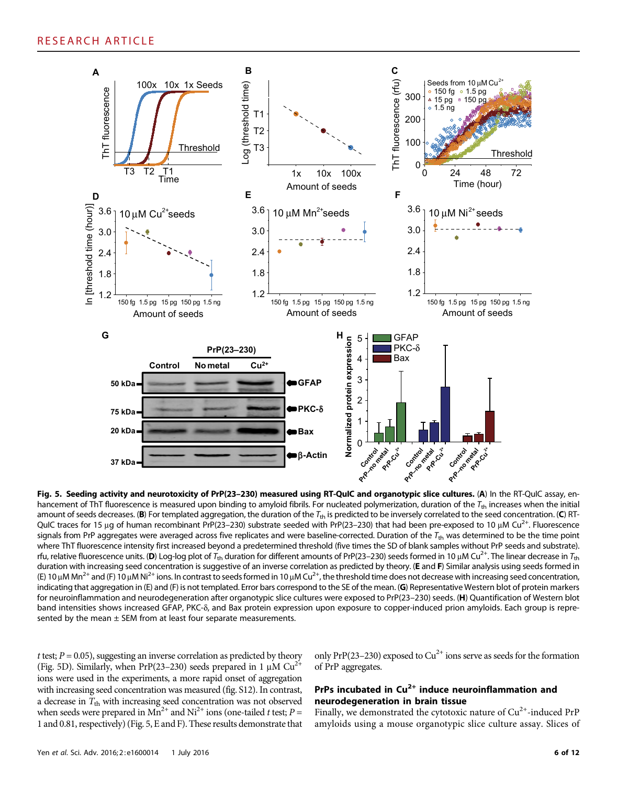

Fig. 5. Seeding activity and neurotoxicity of PrP(23-230) measured using RT-QuIC and organotypic slice cultures. (A) In the RT-QuIC assay, enhancement of ThT fluorescence is measured upon binding to amyloid fibrils. For nucleated polymerization, duration of the  $T_{\text{th}}$  increases when the initial amount of seeds decreases. (B) For templated aggregation, the duration of the  $T_{\text{th}}$  is predicted to be inversely correlated to the seed concentration. (C) RT-QuIC traces for 15 µg of human recombinant PrP(23–230) substrate seeded with PrP(23–230) that had been pre-exposed to 10 µM Cu<sup>2+</sup>. Fluorescence signals from PrP aggregates were averaged across five replicates and were baseline-corrected. Duration of the  $T_{\text{th}}$  was determined to be the time point where ThT fluorescence intensity first increased beyond a predetermined threshold (five times the SD of blank samples without PrP seeds and substrate). rfu, relative fluorescence units. (D) Log-log plot of  $T_{th}$  duration for different amounts of PrP(23–230) seeds formed in 10 µM Cu<sup>2+</sup>. The linear decrease in  $T_{th}$ duration with increasing seed concentration is suggestive of an inverse correlation as predicted by theory. (E and F) Similar analysis using seeds formed in (E) 10  $\mu$ M Mn<sup>2+</sup> and (F) 10  $\mu$ M Ni<sup>2+</sup> ions. In contrast to seeds formed in 10  $\mu$ M Cu<sup>2+</sup>, the threshold time does not decrease with increasing seed concentration, indicating that aggregation in (E) and (F) is not templated. Error bars correspond to the SE of the mean. (G) Representative Western blot of protein markers for neuroinflammation and neurodegeneration after organotypic slice cultures were exposed to PrP(23-230) seeds. (H) Quantification of Western blot band intensities shows increased GFAP, PKC- $\delta$ , and Bax protein expression upon exposure to copper-induced prion amyloids. Each group is represented by the mean  $\pm$  SEM from at least four separate measurements.

t test;  $P = 0.05$ ), suggesting an inverse correlation as predicted by theory (Fig. 5D). Similarly, when PrP(23–230) seeds prepared in 1  $\mu$ M Cu<sup>2+</sup> ions were used in the experiments, a more rapid onset of aggregation with increasing seed concentration was measured (fig. S12). In contrast, a decrease in  $T_{\text{th}}$  with increasing seed concentration was not observed when seeds were prepared in  $Mn^{2+}$  and  $Ni^{2+}$  ions (one-tailed t test;  $P =$ 1 and 0.81, respectively) (Fig. 5, E and F). These results demonstrate that

only PrP(23–230) exposed to  $Cu^{2+}$  ions serve as seeds for the formation of PrP aggregates.

## PrPs incubated in  $Cu^{2+}$  induce neuroinflammation and neurodegeneration in brain tissue

Finally, we demonstrated the cytotoxic nature of  $Cu^{2+}$ -induced PrP amyloids using a mouse organotypic slice culture assay. Slices of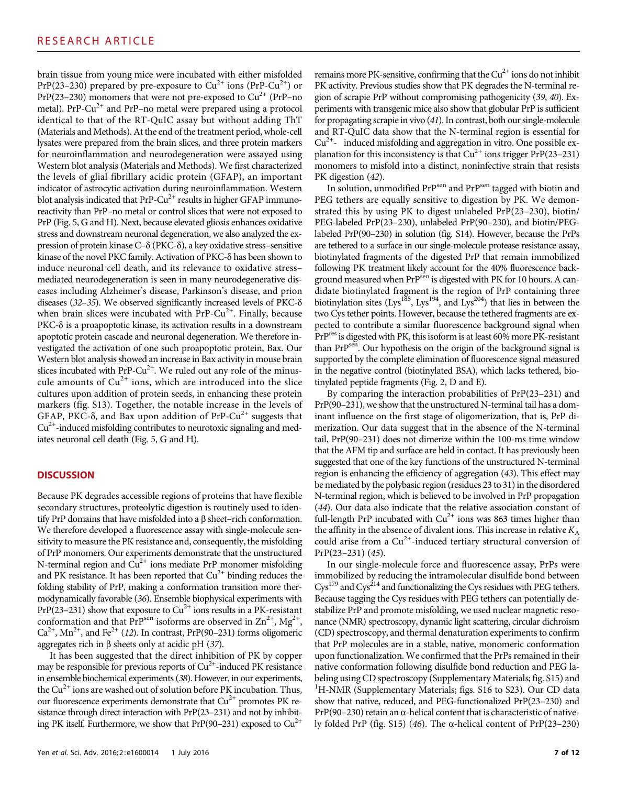brain tissue from young mice were incubated with either misfolded PrP(23–230) prepared by pre-exposure to  $Cu^{2+}$  ions (PrP-Cu<sup>2+</sup>) or  $PrP(23-230)$  monomers that were not pre-exposed to  $Cu^{2+}$  (PrP–no metal). PrP-Cu<sup>2+</sup> and PrP-no metal were prepared using a protocol identical to that of the RT-QuIC assay but without adding ThT (Materials and Methods). At the end of the treatment period, whole-cell lysates were prepared from the brain slices, and three protein markers for neuroinflammation and neurodegeneration were assayed using Western blot analysis (Materials and Methods). We first characterized the levels of glial fibrillary acidic protein (GFAP), an important indicator of astrocytic activation during neuroinflammation. Western blot analysis indicated that  $PrP-Cu^{2+}$  results in higher GFAP immunoreactivity than PrP–no metal or control slices that were not exposed to PrP (Fig. 5, G and H). Next, because elevated gliosis enhances oxidative stress and downstream neuronal degeneration, we also analyzed the expression of protein kinase  $C-\delta$  (PKC- $\delta$ ), a key oxidative stress–sensitive kinase of the novel PKC family. Activation of PKC- $\delta$  has been shown to induce neuronal cell death, and its relevance to oxidative stress– mediated neurodegeneration is seen in many neurodegenerative diseases including Alzheimer's disease, Parkinson's disease, and prion diseases (32–35). We observed significantly increased levels of  $PKC-\delta$ when brain slices were incubated with  $PrP-Cu^{2+}$ . Finally, because  $PKC-<sub>o</sub>$  is a proapoptotic kinase, its activation results in a downstream apoptotic protein cascade and neuronal degeneration. We therefore investigated the activation of one such proapoptotic protein, Bax. Our Western blot analysis showed an increase in Bax activity in mouse brain slices incubated with PrP-Cu<sup>2+</sup>. We ruled out any role of the minuscule amounts of  $Cu^{2+}$  ions, which are introduced into the slice cultures upon addition of protein seeds, in enhancing these protein markers (fig. S13). Together, the notable increase in the levels of GFAP, PKC- $\delta$ , and Bax upon addition of PrP-Cu<sup>2+</sup> suggests that  $Cu<sup>2+</sup>$ -induced misfolding contributes to neurotoxic signaling and mediates neuronal cell death (Fig. 5, G and H).

## **DISCUSSION**

Because PK degrades accessible regions of proteins that have flexible secondary structures, proteolytic digestion is routinely used to identify PrP domains that have misfolded into a  $\beta$  sheet–rich conformation. We therefore developed a fluorescence assay with single-molecule sensitivity to measure the PK resistance and, consequently, the misfolding of PrP monomers. Our experiments demonstrate that the unstructured N-terminal region and  $Cu^{2+}$  ions mediate PrP monomer misfolding and PK resistance. It has been reported that  $Cu^{2+}$  binding reduces the folding stability of PrP, making a conformation transition more thermodynamically favorable (36). Ensemble biophysical experiments with  $PrP(23-231)$  show that exposure to  $Cu^{2+}$  ions results in a PK-resistant conformation and that PrP<sup>sen</sup> isoforms are observed in  $\text{Zn}^{2+}$ , Mg<sup>2+</sup>,  $Ca^{2+}$ , Mn<sup>2+</sup>, and Fe<sup>2+</sup> (12). In contrast, PrP(90–231) forms oligomeric aggregates rich in  $\beta$  sheets only at acidic pH (37).

It has been suggested that the direct inhibition of PK by copper may be responsible for previous reports of  $Cu^{2+}$ -induced PK resistance in ensemble biochemical experiments (38). However, in our experiments, the  $Cu^{2+}$  ions are washed out of solution before PK incubation. Thus, our fluorescence experiments demonstrate that  $Cu^{2+}$  promotes PK resistance through direct interaction with PrP(23–231) and not by inhibiting PK itself. Furthermore, we show that  $PrP(90-231)$  exposed to  $Cu^{2+}$ 

Yen et al. Sci. Adv. 2016; 2:e1600014 1 July 2016 7 of 12

remains more PK-sensitive, confirming that the  $Cu^{2+}$  ions do not inhibit PK activity. Previous studies show that PK degrades the N-terminal region of scrapie PrP without compromising pathogenicity (39, 40). Experiments with transgenic mice also show that globular PrP is sufficient for propagating scrapie in vivo (41). In contrast, both our single-molecule and RT-QuIC data show that the N-terminal region is essential for  $Cu<sup>2+</sup>$  induced misfolding and aggregation in vitro. One possible explanation for this inconsistency is that  $Cu^{2+}$  ions trigger  $PrP(23-231)$ monomers to misfold into a distinct, noninfective strain that resists PK digestion  $(42)$ .

In solution, unmodified PrP<sup>sen</sup> and PrP<sup>sen</sup> tagged with biotin and PEG tethers are equally sensitive to digestion by PK. We demonstrated this by using PK to digest unlabeled PrP(23–230), biotin/ PEG-labeled PrP(23–230), unlabeled PrP(90–230), and biotin/PEGlabeled PrP(90–230) in solution (fig. S14). However, because the PrPs are tethered to a surface in our single-molecule protease resistance assay, biotinylated fragments of the digested PrP that remain immobilized following PK treatment likely account for the 40% fluorescence background measured when PrP<sup>sen</sup> is digested with PK for 10 hours. A candidate biotinylated fragment is the region of PrP containing three biotinylation sites (Lys<sup>185</sup>, Lys<sup>194</sup>, and Lys<sup>204</sup>) that lies in between the two Cys tether points. However, because the tethered fragments are expected to contribute a similar fluorescence background signal when PrP<sup>res</sup> is digested with PK, this isoform is at least 60% more PK-resistant than PrPsen. Our hypothesis on the origin of the background signal is supported by the complete elimination of fluorescence signal measured in the negative control (biotinylated BSA), which lacks tethered, biotinylated peptide fragments (Fig. 2, D and E).

By comparing the interaction probabilities of PrP(23–231) and PrP(90–231), we show that the unstructured N-terminal tail has a dominant influence on the first stage of oligomerization, that is, PrP dimerization. Our data suggest that in the absence of the N-terminal tail, PrP(90–231) does not dimerize within the 100-ms time window that the AFM tip and surface are held in contact. It has previously been suggested that one of the key functions of the unstructured N-terminal region is enhancing the efficiency of aggregation (43). This effect may be mediated by the polybasic region (residues 23 to 31) in the disordered N-terminal region, which is believed to be involved in PrP propagation (44). Our data also indicate that the relative association constant of full-length PrP incubated with  $Cu^{2+}$  ions was 863 times higher than the affinity in the absence of divalent ions. This increase in relative  $K_A$ could arise from a  $Cu^{2+}$ -induced tertiary structural conversion of PrP(23–231) (45).

In our single-molecule force and fluorescence assay, PrPs were immobilized by reducing the intramolecular disulfide bond between Cys<sup>179</sup> and Cys<sup>214</sup> and functionalizing the Cys residues with PEG tethers. Because tagging the Cys residues with PEG tethers can potentially destabilize PrP and promote misfolding, we used nuclear magnetic resonance (NMR) spectroscopy, dynamic light scattering, circular dichroism (CD) spectroscopy, and thermal denaturation experiments to confirm that PrP molecules are in a stable, native, monomeric conformation upon functionalization. We confirmed that the PrPs remained in their native conformation following disulfide bond reduction and PEG labeling using CD spectroscopy (Supplementary Materials; fig. S15) and <sup>1</sup>H-NMR (Supplementary Materials; figs. S16 to S23). Our CD data show that native, reduced, and PEG-functionalized PrP(23–230) and  $PrP(90-230)$  retain an  $\alpha$ -helical content that is characteristic of natively folded PrP (fig. S15) (46). The  $\alpha$ -helical content of PrP(23–230)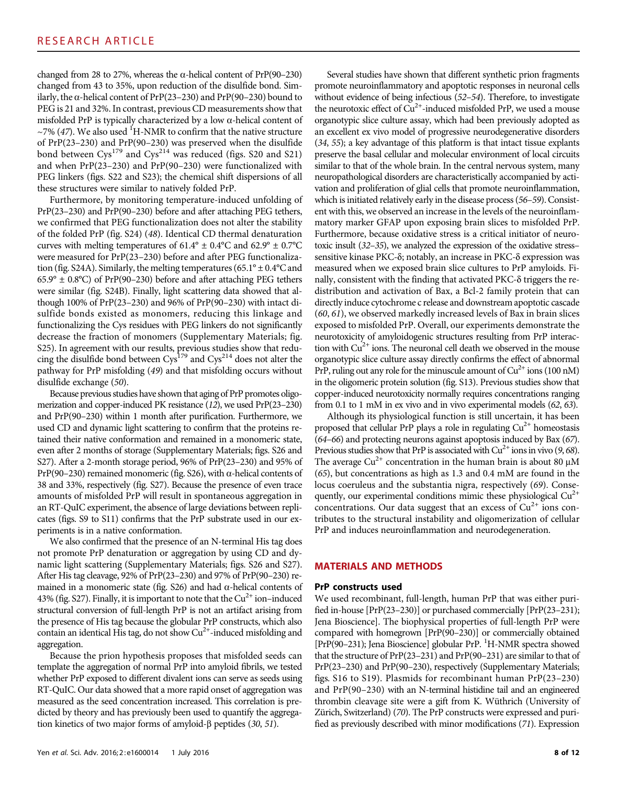changed from 28 to 27%, whereas the  $\alpha$ -helical content of PrP(90–230) changed from 43 to 35%, upon reduction of the disulfide bond. Similarly, the  $\alpha$ -helical content of PrP(23–230) and PrP(90–230) bound to PEG is 21 and 32%. In contrast, previous CD measurements show that misfolded PrP is typically characterized by a low  $\alpha$ -helical content of  $\sim$ 7% (47). We also used <sup>1</sup>H-NMR to confirm that the native structure of PrP(23–230) and PrP(90–230) was preserved when the disulfide bond between  $Cys^{179}$  and  $Cys^{214}$  was reduced (figs. S20 and S21) and when PrP(23–230) and PrP(90–230) were functionalized with PEG linkers (figs. S22 and S23); the chemical shift dispersions of all these structures were similar to natively folded PrP.

Furthermore, by monitoring temperature-induced unfolding of PrP(23–230) and PrP(90–230) before and after attaching PEG tethers, we confirmed that PEG functionalization does not alter the stability of the folded PrP (fig. S24) (48). Identical CD thermal denaturation curves with melting temperatures of  $61.4^{\circ} \pm 0.4^{\circ}$ C and  $62.9^{\circ} \pm 0.7^{\circ}$ C were measured for PrP(23–230) before and after PEG functionalization (fig. S24A). Similarly, the melting temperatures (65.1°  $\pm$  0.4°C and  $65.9^{\circ} \pm 0.8^{\circ}$ C) of PrP(90–230) before and after attaching PEG tethers were similar (fig. S24B). Finally, light scattering data showed that although 100% of PrP(23–230) and 96% of PrP(90–230) with intact disulfide bonds existed as monomers, reducing this linkage and functionalizing the Cys residues with PEG linkers do not significantly decrease the fraction of monomers (Supplementary Materials; fig. S25). In agreement with our results, previous studies show that reducing the disulfide bond between  $\text{Cys}^{179}$  and  $\text{Cys}^{214}$  does not alter the pathway for PrP misfolding (49) and that misfolding occurs without disulfide exchange (50).

Because previous studies have shown that aging of PrP promotes oligomerization and copper-induced PK resistance (12), we used PrP(23–230) and PrP(90–230) within 1 month after purification. Furthermore, we used CD and dynamic light scattering to confirm that the proteins retained their native conformation and remained in a monomeric state, even after 2 months of storage (Supplementary Materials; figs. S26 and S27). After a 2-month storage period, 96% of PrP(23–230) and 95% of PrP(90–230) remained monomeric (fig. S26), with  $\alpha$ -helical contents of 38 and 33%, respectively (fig. S27). Because the presence of even trace amounts of misfolded PrP will result in spontaneous aggregation in an RT-QuIC experiment, the absence of large deviations between replicates (figs. S9 to S11) confirms that the PrP substrate used in our experiments is in a native conformation.

We also confirmed that the presence of an N-terminal His tag does not promote PrP denaturation or aggregation by using CD and dynamic light scattering (Supplementary Materials; figs. S26 and S27). After His tag cleavage, 92% of PrP(23–230) and 97% of PrP(90–230) remained in a monomeric state (fig. S26) and had  $\alpha$ -helical contents of 43% (fig. S27). Finally, it is important to note that the  $Cu^{2+}$  ion–induced structural conversion of full-length PrP is not an artifact arising from the presence of His tag because the globular PrP constructs, which also contain an identical His tag, do not show Cu<sup>2+</sup>-induced misfolding and aggregation.

Because the prion hypothesis proposes that misfolded seeds can template the aggregation of normal PrP into amyloid fibrils, we tested whether PrP exposed to different divalent ions can serve as seeds using RT-QuIC. Our data showed that a more rapid onset of aggregation was measured as the seed concentration increased. This correlation is predicted by theory and has previously been used to quantify the aggregation kinetics of two major forms of amyloid- $\beta$  peptides (30, 51).

Several studies have shown that different synthetic prion fragments promote neuroinflammatory and apoptotic responses in neuronal cells without evidence of being infectious (52–54). Therefore, to investigate the neurotoxic effect of  $Cu^{2+}$ -induced misfolded PrP, we used a mouse organotypic slice culture assay, which had been previously adopted as an excellent ex vivo model of progressive neurodegenerative disorders (34, 55); a key advantage of this platform is that intact tissue explants preserve the basal cellular and molecular environment of local circuits similar to that of the whole brain. In the central nervous system, many neuropathological disorders are characteristically accompanied by activation and proliferation of glial cells that promote neuroinflammation, which is initiated relatively early in the disease process (56–59). Consistent with this, we observed an increase in the levels of the neuroinflammatory marker GFAP upon exposing brain slices to misfolded PrP. Furthermore, because oxidative stress is a critical initiator of neurotoxic insult (32–35), we analyzed the expression of the oxidative stress– sensitive kinase PKC-8; notably, an increase in PKC-8 expression was measured when we exposed brain slice cultures to PrP amyloids. Finally, consistent with the finding that activated PKC- $\delta$  triggers the redistribution and activation of Bax, a Bcl-2 family protein that can directly induce cytochrome c release and downstream apoptotic cascade (60, 61), we observed markedly increased levels of Bax in brain slices exposed to misfolded PrP. Overall, our experiments demonstrate the neurotoxicity of amyloidogenic structures resulting from PrP interaction with  $Cu<sup>2+</sup>$  ions. The neuronal cell death we observed in the mouse organotypic slice culture assay directly confirms the effect of abnormal PrP, ruling out any role for the minuscule amount of  $Cu^{2+}$  ions (100 nM) in the oligomeric protein solution (fig. S13). Previous studies show that copper-induced neurotoxicity normally requires concentrations ranging from 0.1 to 1 mM in ex vivo and in vivo experimental models (62, 63).

Although its physiological function is still uncertain, it has been proposed that cellular PrP plays a role in regulating  $Cu^{2+}$  homeostasis (64–66) and protecting neurons against apoptosis induced by Bax (67). Previous studies show that PrP is associated with  $Cu^{2+}$  ions in vivo (9, 68). The average  $Cu^{2+}$  concentration in the human brain is about 80  $\mu$ M (65), but concentrations as high as 1.3 and 0.4 mM are found in the locus coeruleus and the substantia nigra, respectively (69). Consequently, our experimental conditions mimic these physiological  $Cu^{2+}$ concentrations. Our data suggest that an excess of  $Cu<sup>2+</sup>$  ions contributes to the structural instability and oligomerization of cellular PrP and induces neuroinflammation and neurodegeneration.

### MATERIALS AND METHODS

#### PrP constructs used

We used recombinant, full-length, human PrP that was either purified in-house [PrP(23–230)] or purchased commercially [PrP(23–231); Jena Bioscience]. The biophysical properties of full-length PrP were compared with homegrown [PrP(90–230)] or commercially obtained [PrP(90-231); Jena Bioscience] globular PrP. <sup>1</sup>H-NMR spectra showed that the structure of PrP(23–231) and PrP(90–231) are similar to that of PrP(23–230) and PrP(90–230), respectively (Supplementary Materials; figs. S16 to S19). Plasmids for recombinant human PrP(23–230) and PrP(90–230) with an N-terminal histidine tail and an engineered thrombin cleavage site were a gift from K. Wüthrich (University of Zürich, Switzerland) (70). The PrP constructs were expressed and purified as previously described with minor modifications (71). Expression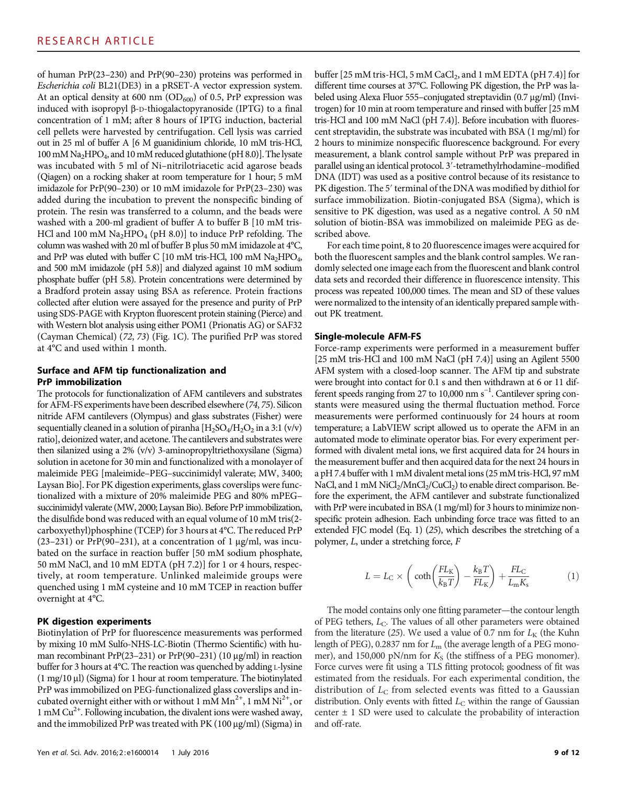of human PrP(23–230) and PrP(90–230) proteins was performed in Escherichia coli BL21(DE3) in a pRSET-A vector expression system. At an optical density at 600 nm  $(OD_{600})$  of 0.5, PrP expression was induced with isopropyl b-D-thiogalactopyranoside (IPTG) to a final concentration of 1 mM; after 8 hours of IPTG induction, bacterial cell pellets were harvested by centrifugation. Cell lysis was carried out in 25 ml of buffer A [6 M guanidinium chloride, 10 mM tris-HCl, 100 mM Na2HPO4, and 10 mM reduced glutathione (pH 8.0)]. The lysate was incubated with 5 ml of Ni–nitrilotriacetic acid agarose beads (Qiagen) on a rocking shaker at room temperature for 1 hour; 5 mM imidazole for PrP(90–230) or 10 mM imidazole for PrP(23–230) was added during the incubation to prevent the nonspecific binding of protein. The resin was transferred to a column, and the beads were washed with a 200-ml gradient of buffer A to buffer B [10 mM tris-HCl and 100 mM  $\text{Na}_2\text{HPO}_4$  (pH 8.0)] to induce PrP refolding. The column was washed with 20 ml of buffer B plus 50 mM imidazole at 4°C, and PrP was eluted with buffer C [10 mM tris-HCl, 100 mM Na<sub>2</sub>HPO<sub>4</sub>, and 500 mM imidazole (pH 5.8)] and dialyzed against 10 mM sodium phosphate buffer (pH 5.8). Protein concentrations were determined by a Bradford protein assay using BSA as reference. Protein fractions collected after elution were assayed for the presence and purity of PrP using SDS-PAGE with Krypton fluorescent protein staining (Pierce) and with Western blot analysis using either POM1 (Prionatis AG) or SAF32 (Cayman Chemical) (72, 73) (Fig. 1C). The purified PrP was stored at 4°C and used within 1 month.

### Surface and AFM tip functionalization and PrP immobilization

The protocols for functionalization of AFM cantilevers and substrates for AFM-FS experiments have been described elsewhere (74, 75). Silicon nitride AFM cantilevers (Olympus) and glass substrates (Fisher) were sequentially cleaned in a solution of piranha  $[H_2SO_4/H_2O_2]$  in a 3:1 (v/v) ratio], deionized water, and acetone. The cantilevers and substrates were then silanized using a 2% (v/v) 3-aminopropyltriethoxysilane (Sigma) solution in acetone for 30 min and functionalized with a monolayer of maleimide PEG [maleimide–PEG–succinimidyl valerate; MW, 3400; Laysan Bio]. For PK digestion experiments, glass coverslips were functionalized with a mixture of 20% maleimide PEG and 80% mPEG– succinimidyl valerate (MW, 2000; Laysan Bio). Before PrP immobilization, the disulfide bond was reduced with an equal volume of 10 mM tris(2 carboxyethyl)phosphine (TCEP) for 3 hours at 4°C. The reduced PrP  $(23-231)$  or PrP(90-231), at a concentration of 1 µg/ml, was incubated on the surface in reaction buffer [50 mM sodium phosphate, 50 mM NaCl, and 10 mM EDTA (pH 7.2)] for 1 or 4 hours, respectively, at room temperature. Unlinked maleimide groups were quenched using 1 mM cysteine and 10 mM TCEP in reaction buffer overnight at 4°C.

#### PK digestion experiments

Biotinylation of PrP for fluorescence measurements was performed by mixing 10 mM Sulfo-NHS-LC-Biotin (Thermo Scientific) with human recombinant PrP(23-231) or PrP(90-231) (10  $\mu$ g/ml) in reaction buffer for 3 hours at 4°C. The reaction was quenched by adding L-lysine  $(1 \text{ mg}/10 \mu)$  (Sigma) for 1 hour at room temperature. The biotinylated PrP was immobilized on PEG-functionalized glass coverslips and incubated overnight either with or without 1 mM  $Mn^{2+}$ , 1 mM  $Ni^{2+}$ , or 1 mM  $Cu<sup>2+</sup>$ . Following incubation, the divalent ions were washed away, and the immobilized PrP was treated with PK (100  $\mu$ g/ml) (Sigma) in

buffer [25 mM tris-HCl, 5 mM CaCl<sub>2</sub>, and 1 mM EDTA (pH 7.4)] for different time courses at 37°C. Following PK digestion, the PrP was labeled using Alexa Fluor 555–conjugated streptavidin (0.7 µg/ml) (Invitrogen) for 10 min at room temperature and rinsed with buffer [25 mM tris-HCl and 100 mM NaCl (pH 7.4)]. Before incubation with fluorescent streptavidin, the substrate was incubated with BSA (1 mg/ml) for 2 hours to minimize nonspecific fluorescence background. For every measurement, a blank control sample without PrP was prepared in parallel using an identical protocol. 3′-tetramethylrhodamine–modified DNA (IDT) was used as a positive control because of its resistance to PK digestion. The 5′ terminal of the DNA was modified by dithiol for surface immobilization. Biotin-conjugated BSA (Sigma), which is sensitive to PK digestion, was used as a negative control. A 50 nM solution of biotin-BSA was immobilized on maleimide PEG as described above.

For each time point, 8 to 20 fluorescence images were acquired for both the fluorescent samples and the blank control samples. We randomly selected one image each from the fluorescent and blank control data sets and recorded their difference in fluorescence intensity. This process was repeated 100,000 times. The mean and SD of these values were normalized to the intensity of an identically prepared sample without PK treatment.

#### Single-molecule AFM-FS

Force-ramp experiments were performed in a measurement buffer [25 mM tris-HCl and 100 mM NaCl (pH 7.4)] using an Agilent 5500 AFM system with a closed-loop scanner. The AFM tip and substrate were brought into contact for 0.1 s and then withdrawn at 6 or 11 different speeds ranging from 27 to 10,000 nm s<sup>-1</sup>. Cantilever spring constants were measured using the thermal fluctuation method. Force measurements were performed continuously for 24 hours at room temperature; a LabVIEW script allowed us to operate the AFM in an automated mode to eliminate operator bias. For every experiment performed with divalent metal ions, we first acquired data for 24 hours in the measurement buffer and then acquired data for the next 24 hours in a pH 7.4 buffer with 1 mM divalent metal ions (25 mM tris-HCl, 97 mM NaCl, and 1 mM  $NiCl<sub>2</sub>/MnCl<sub>2</sub>/CuCl<sub>2</sub>$ ) to enable direct comparison. Before the experiment, the AFM cantilever and substrate functionalized with PrP were incubated in BSA (1 mg/ml) for 3 hours to minimize nonspecific protein adhesion. Each unbinding force trace was fitted to an extended FJC model (Eq. 1) (25), which describes the stretching of a polymer, L, under a stretching force, F

$$
L = L_{\rm C} \times \left( \coth\left(\frac{FL_{\rm K}}{k_{\rm B}T}\right) - \frac{k_{\rm B}T}{FL_{\rm K}} \right) + \frac{FL_{\rm C}}{L_{\rm m}K_{\rm s}} \tag{1}
$$

The model contains only one fitting parameter—the contour length of PEG tethers,  $L_{\text{C}}$ . The values of all other parameters were obtained from the literature (25). We used a value of 0.7 nm for  $L_K$  (the Kuhn length of PEG), 0.2837 nm for  $L_m$  (the average length of a PEG monomer), and 150,000 pN/nm for  $K_S$  (the stiffness of a PEG monomer). Force curves were fit using a TLS fitting protocol; goodness of fit was estimated from the residuals. For each experimental condition, the distribution of  $L_{\rm C}$  from selected events was fitted to a Gaussian distribution. Only events with fitted  $L<sub>C</sub>$  within the range of Gaussian center  $\pm$  1 SD were used to calculate the probability of interaction and off-rate.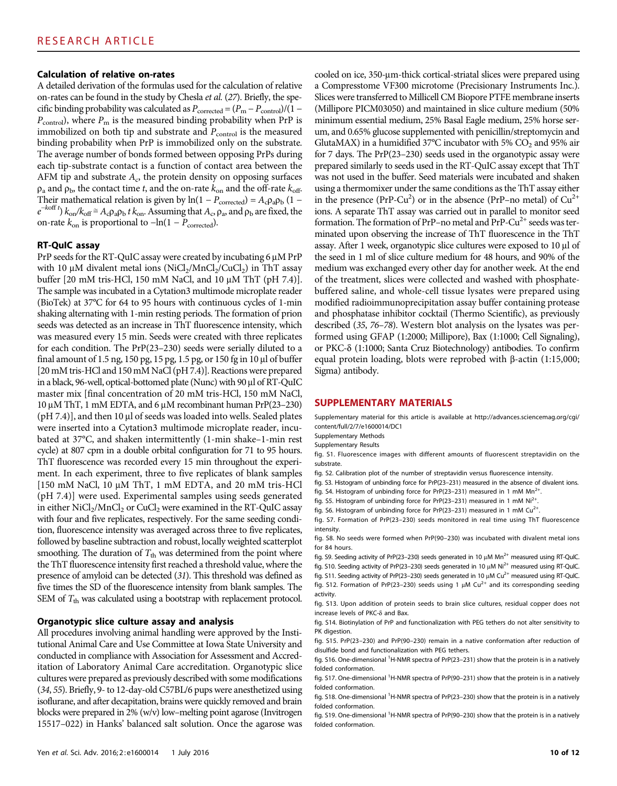## Calculation of relative on-rates

A detailed derivation of the formulas used for the calculation of relative on-rates can be found in the study by Chesla et al. (27). Briefly, the specific binding probability was calculated as  $P_{\text{corrected}} = (P_{\text{m}} - P_{\text{control}})/(1 P_{\text{control}}$ ), where  $P_{\text{m}}$  is the measured binding probability when PrP is immobilized on both tip and substrate and  $P_{\rm control}$  is the measured binding probability when PrP is immobilized only on the substrate. The average number of bonds formed between opposing PrPs during each tip-substrate contact is a function of contact area between the AFM tip and substrate  $A_c$ , the protein density on opposing surfaces  $\rho_a$  and  $\rho_b$ , the contact time t, and the on-rate  $k_{on}$  and the off-rate  $k_{off}$ . Their mathematical relation is given by ln(1 –  $P_{\text{corrected}}$ ) =  $A_c \rho_a \rho_b$  (1 –  $e^{-koff t}$ )  $k_{on}/k_{off} \cong A_c \rho_a \rho_b t k_{on}$ . Assuming that  $A_c$ ,  $\rho_a$ , and  $\rho_b$  are fixed, the on-rate  $k_{on}$  is proportional to  $-\ln(1 - P_{corrected})$ .

#### RT-QuIC assay

PrP seeds for the RT-QuIC assay were created by incubating  $6 \mu M$  PrP with 10  $\mu$ M divalent metal ions (NiCl<sub>2</sub>/MnCl<sub>2</sub>/CuCl<sub>2</sub>) in ThT assay buffer  $[20 \text{ mM tris-HCl}, 150 \text{ mM NaCl}, \text{ and } 10 \mu \text{M ThT (pH 7.4)}].$ The sample was incubated in a Cytation3 multimode microplate reader (BioTek) at 37°C for 64 to 95 hours with continuous cycles of 1-min shaking alternating with 1-min resting periods. The formation of prion seeds was detected as an increase in ThT fluorescence intensity, which was measured every 15 min. Seeds were created with three replicates for each condition. The PrP(23–230) seeds were serially diluted to a final amount of 1.5 ng, 150 pg, 15 pg, 1.5 pg, or 150 fg in 10  $\mu$ l of buffer [20 mM tris-HCl and 150 mM NaCl (pH 7.4)]. Reactions were prepared in a black, 96-well, optical-bottomed plate (Nunc) with 90 µl of RT-QuIC master mix [final concentration of 20 mM tris-HCl, 150 mM NaCl,  $10 \mu$ M ThT, 1 mM EDTA, and 6  $\mu$ M recombinant human PrP(23–230) ( $pH$  7.4)], and then 10  $\mu$ l of seeds was loaded into wells. Sealed plates were inserted into a Cytation3 multimode microplate reader, incubated at 37°C, and shaken intermittently (1-min shake–1-min rest cycle) at 807 cpm in a double orbital configuration for 71 to 95 hours. ThT fluorescence was recorded every 15 min throughout the experiment. In each experiment, three to five replicates of blank samples [150 mM NaCl, 10  $\mu$ M ThT, 1 mM EDTA, and 20 mM tris-HCl (pH 7.4)] were used. Experimental samples using seeds generated in either  $NiCl<sub>2</sub>/MnCl<sub>2</sub>$  or  $CuCl<sub>2</sub>$  were examined in the RT-QuIC assay with four and five replicates, respectively. For the same seeding condition, fluorescence intensity was averaged across three to five replicates, followed by baseline subtraction and robust, locally weighted scatterplot smoothing. The duration of  $T_{\text{th}}$  was determined from the point where the ThT fluorescence intensity first reached a threshold value, where the presence of amyloid can be detected (31). This threshold was defined as five times the SD of the fluorescence intensity from blank samples. The SEM of  $T_{\text{th}}$  was calculated using a bootstrap with replacement protocol.

#### Organotypic slice culture assay and analysis

All procedures involving animal handling were approved by the Institutional Animal Care and Use Committee at Iowa State University and conducted in compliance with Association for Assessment and Accreditation of Laboratory Animal Care accreditation. Organotypic slice cultures were prepared as previously described with some modifications (34, 55). Briefly, 9- to 12-day-old C57BL/6 pups were anesthetized using isoflurane, and after decapitation, brains were quickly removed and brain blocks were prepared in 2% (w/v) low–melting point agarose (Invitrogen 15517–022) in Hanks' balanced salt solution. Once the agarose was

cooled on ice, 350-µm-thick cortical-striatal slices were prepared using a Compresstome VF300 microtome (Precisionary Instruments Inc.). Slices were transferred to Millicell CM Biopore PTFE membrane inserts (Millipore PICM03050) and maintained in slice culture medium (50% minimum essential medium, 25% Basal Eagle medium, 25% horse serum, and 0.65% glucose supplemented with penicillin/streptomycin and GlutaMAX) in a humidified 37°C incubator with 5%  $CO<sub>2</sub>$  and 95% air for 7 days. The PrP(23–230) seeds used in the organotypic assay were prepared similarly to seeds used in the RT-QuIC assay except that ThT was not used in the buffer. Seed materials were incubated and shaken using a thermomixer under the same conditions as the ThT assay either in the presence (PrP-Cu<sup>2</sup>) or in the absence (PrP-no metal) of  $Cu^{2+}$ ions. A separate ThT assay was carried out in parallel to monitor seed formation. The formation of  $PrP$ –no metal and  $PrP$ -Cu<sup>2+</sup> seeds was terminated upon observing the increase of ThT fluorescence in the ThT assay. After 1 week, organotypic slice cultures were exposed to  $10 \mu l$  of the seed in 1 ml of slice culture medium for 48 hours, and 90% of the medium was exchanged every other day for another week. At the end of the treatment, slices were collected and washed with phosphatebuffered saline, and whole-cell tissue lysates were prepared using modified radioimmunoprecipitation assay buffer containing protease and phosphatase inhibitor cocktail (Thermo Scientific), as previously described (35, 76–78). Western blot analysis on the lysates was performed using GFAP (1:2000; Millipore), Bax (1:1000; Cell Signaling), or PKC-d (1:1000; Santa Cruz Biotechnology) antibodies. To confirm equal protein loading, blots were reprobed with  $\beta$ -actin (1:15,000; Sigma) antibody.

#### SUPPLEMENTARY MATERIALS

Supplementary material for this article is available at [http://advances.sciencemag.org/cgi/](http://advances.sciencemag.org/cgi/content/full/2/7/e1600014/DC1) [content/full/2/7/e1600014/DC1](http://advances.sciencemag.org/cgi/content/full/2/7/e1600014/DC1)

Supplementary Methods

Supplementary Results

fig. S1. Fluorescence images with different amounts of fluorescent streptavidin on the substrate.

fig. S2. Calibration plot of the number of streptavidin versus fluorescence intensity.

fig. S3. Histogram of unbinding force for PrP(23–231) measured in the absence of divalent ions.

fig. S4. Histogram of unbinding force for PrP(23-231) measured in 1 mM  $Mn^{2+}$ .

fig. S5. Histogram of unbinding force for PrP(23-231) measured in 1 mM  $Ni^{2+}$ .

fig. S6. Histogram of unbinding force for PrP(23–231) measured in 1 mM  $Cu^{2+}$ .

fig. S7. Formation of PrP(23–230) seeds monitored in real time using ThT fluorescence intensity.

fig. S8. No seeds were formed when PrP(90–230) was incubated with divalent metal ions for 84 hours.

fig. S9. Seeding activity of PrP(23-230) seeds generated in 10  $\mu$ M Mn<sup>2+</sup> measured using RT-QuIC. fig. S10. Seeding activity of PrP(23-230) seeds generated in 10  $\mu$ M Ni<sup>2+</sup> measured using RT-QuIC.

fig. S11. Seeding activity of PrP(23-230) seeds generated in 10  $\mu$ M Cu<sup>2+</sup> measured using RT-QuIC. fig. S12. Formation of PrP(23-230) seeds using 1  $\mu$ M Cu<sup>2+</sup> and its corresponding seeding activity.

fig. S13. Upon addition of protein seeds to brain slice cultures, residual copper does not increase levels of PKC- $\delta$  and Bax.

fig. S14. Biotinylation of PrP and functionalization with PEG tethers do not alter sensitivity to PK digestion

fig. S15. PrP(23–230) and PrP(90–230) remain in a native conformation after reduction of disulfide bond and functionalization with PEG tethers.

fig. S16. One-dimensional <sup>1</sup>H-NMR spectra of PrP(23–231) show that the protein is in a natively folded conformation.

fig. S17. One-dimensional <sup>1</sup>H-NMR spectra of PrP(90-231) show that the protein is in a natively folded conformation.

fig. S18. One-dimensional <sup>1</sup>H-NMR spectra of PrP(23-230) show that the protein is in a natively folded conformation.

fig. S19. One-dimensional <sup>1</sup>H-NMR spectra of PrP(90–230) show that the protein is in a natively folded conformation.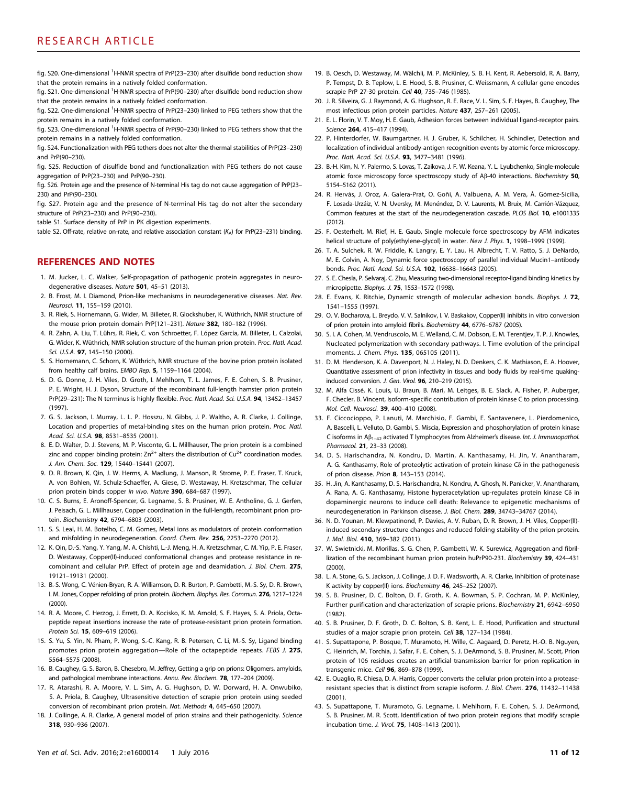fig. S20. One-dimensional <sup>1</sup>H-NMR spectra of PrP(23–230) after disulfide bond reduction show that the protein remains in a natively folded conformation.

fig. S21. One-dimensional <sup>1</sup>H-NMR spectra of PrP(90–230) after disulfide bond reduction show that the protein remains in a natively folded conformation.

fig. S22. One-dimensional <sup>1</sup>H-NMR spectra of PrP(23-230) linked to PEG tethers show that the protein remains in a natively folded conformation.

fig. S23. One-dimensional <sup>1</sup>H-NMR spectra of PrP(90-230) linked to PEG tethers show that the protein remains in a natively folded conformation.

fig. S24. Functionalization with PEG tethers does not alter the thermal stabilities of PrP(23–230) and PrP(90–230).

fig. S25. Reduction of disulfide bond and functionalization with PEG tethers do not cause aggregation of PrP(23–230) and PrP(90–230).

fig. S26. Protein age and the presence of N-terminal His tag do not cause aggregation of PrP(23– 230) and PrP(90–230).

fig. S27. Protein age and the presence of N-terminal His tag do not alter the secondary structure of PrP(23–230) and PrP(90–230).

table S1. Surface density of PrP in PK digestion experiments.

table S2. Off-rate, relative on-rate, and relative association constant ( $K_a$ ) for PrP(23–231) binding.

## REFERENCES AND NOTES

- 1. M. Jucker, L. C. Walker, Self-propagation of pathogenic protein aggregates in neurodegenerative diseases. Nature 501, 45–51 (2013).
- 2. B. Frost, M. I. Diamond, Prion-like mechanisms in neurodegenerative diseases. Nat. Rev. Neurosci. 11, 155–159 (2010).
- 3. R. Riek, S. Hornemann, G. Wider, M. Billeter, R. Glockshuber, K. Wüthrich, NMR structure of the mouse prion protein domain PrP(121–231). Nature 382, 180–182 (1996).
- 4. R. Zahn, A. Liu, T. Lührs, R. Riek, C. von Schroetter, F. López García, M. Billeter, L. Calzolai, G. Wider, K. Wüthrich, NMR solution structure of the human prion protein. Proc. Natl. Acad. Sci. U.S.A. 97, 145–150 (2000).
- 5. S. Hornemann, C. Schorn, K. Wüthrich, NMR structure of the bovine prion protein isolated from healthy calf brains. EMBO Rep. 5, 1159–1164 (2004).
- 6. D. G. Donne, J. H. Viles, D. Groth, I. Mehlhorn, T. L. James, F. E. Cohen, S. B. Prusiner, P. E. Wright, H. J. Dyson, Structure of the recombinant full-length hamster prion protein PrP(29-231): The N terminus is highly flexible. Proc. Natl. Acad. Sci. U.S.A. 94, 13452-13457 (1997).
- 7. G. S. Jackson, I. Murray, L. L. P. Hosszu, N. Gibbs, J. P. Waltho, A. R. Clarke, J. Collinge, Location and properties of metal-binding sites on the human prion protein. Proc. Natl. Acad. Sci. U.S.A. 98, 8531–8535 (2001).
- 8. E. D. Walter, D. J. Stevens, M. P. Visconte, G. L. Millhauser, The prion protein is a combined zinc and copper binding protein:  $Zn^{2+}$  alters the distribution of  $Cu^{2+}$  coordination modes. J. Am. Chem. Soc. 129, 15440–15441 (2007).
- 9. D. R. Brown, K. Qin, J. W. Herms, A. Madlung, J. Manson, R. Strome, P. E. Fraser, T. Kruck, A. von Bohlen, W. Schulz-Schaeffer, A. Giese, D. Westaway, H. Kretzschmar, The cellular prion protein binds copper in vivo. Nature 390, 684-687 (1997).
- 10. C. S. Burns, E. Aronoff-Spencer, G. Legname, S. B. Prusiner, W. E. Antholine, G. J. Gerfen, J. Peisach, G. L. Millhauser, Copper coordination in the full-length, recombinant prion protein. Biochemistry 42, 6794-6803 (2003).
- 11. S. S. Leal, H. M. Botelho, C. M. Gomes, Metal ions as modulators of protein conformation and misfolding in neurodegeneration. Coord. Chem. Rev. 256, 2253–2270 (2012).
- 12. K. Qin, D.-S. Yang, Y. Yang, M. A. Chishti, L.-J. Meng, H. A. Kretzschmar, C. M. Yip, P. E. Fraser, D. Westaway, Copper(II)-induced conformational changes and protease resistance in recombinant and cellular PrP. Effect of protein age and deamidation. J. Biol. Chem. 275, 19121–19131 (2000).
- 13. B.-S. Wong, C. Vénien-Bryan, R. A. Williamson, D. R. Burton, P. Gambetti, M.-S. Sy, D. R. Brown, I. M. Jones, Copper refolding of prion protein. Biochem. Biophys. Res. Commun. 276, 1217–1224 (2000).
- 14. R. A. Moore, C. Herzog, J. Errett, D. A. Kocisko, K. M. Arnold, S. F. Hayes, S. A. Priola, Octapeptide repeat insertions increase the rate of protease-resistant prion protein formation. Protein Sci. 15, 609-619 (2006).
- 15. S. Yu, S. Yin, N. Pham, P. Wong, S.-C. Kang, R. B. Petersen, C. Li, M.-S. Sy, Ligand binding promotes prion protein aggregation—Role of the octapeptide repeats. FEBS J. 275, 5564–5575 (2008).
- 16. B. Caughey, G. S. Baron, B. Chesebro, M. Jeffrey, Getting a grip on prions: Oligomers, amyloids, and pathological membrane interactions. Annu. Rev. Biochem. 78, 177–204 (2009).
- 17. R. Atarashi, R. A. Moore, V. L. Sim, A. G. Hughson, D. W. Dorward, H. A. Onwubiko, S. A. Priola, B. Caughey, Ultrasensitive detection of scrapie prion protein using seeded conversion of recombinant prion protein. Nat. Methods 4, 645–650 (2007).
- 18. J. Collinge, A. R. Clarke, A general model of prion strains and their pathogenicity. Science 318, 930–936 (2007).
- 19. B. Oesch, D. Westaway, M. Wälchli, M. P. McKinley, S. B. H. Kent, R. Aebersold, R. A. Barry, P. Tempst, D. B. Teplow, L. E. Hood, S. B. Prusiner, C. Weissmann, A cellular gene encodes scrapie PrP 27-30 protein. Cell 40, 735–746 (1985).
- 20. J. R. Silveira, G. J. Raymond, A. G. Hughson, R. E. Race, V. L. Sim, S. F. Hayes, B. Caughey, The most infectious prion protein particles. Nature 437, 257–261 (2005).
- 21. E. L. Florin, V. T. Moy, H. E. Gaub, Adhesion forces between individual ligand-receptor pairs. Science 264, 415-417 (1994).
- 22. P. Hinterdorfer, W. Baumgartner, H. J. Gruber, K. Schilcher, H. Schindler, Detection and localization of individual antibody-antigen recognition events by atomic force microscopy. Proc. Natl. Acad. Sci. U.S.A. 93, 3477–3481 (1996).
- 23. B.-H. Kim, N. Y. Palermo, S. Lovas, T. Zaikova, J. F. W. Keana, Y. L. Lyubchenko, Single-molecule atomic force microscopy force spectroscopy study of A $\beta$ -40 interactions. Biochemistry 50, 5154–5162 (2011).
- 24. R. Hervás, J. Oroz, A. Galera-Prat, O. Goñi, A. Valbuena, A. M. Vera, À. Gómez-Sicilia, F. Losada-Urzáiz, V. N. Uversky, M. Menéndez, D. V. Laurents, M. Bruix, M. Carrión-Vázquez, Common features at the start of the neurodegeneration cascade. PLOS Biol. 10, e1001335 (2012).
- 25. F. Oesterhelt, M. Rief, H. E. Gaub, Single molecule force spectroscopy by AFM indicates helical structure of poly(ethylene-glycol) in water. New J. Phys. 1, 1998-1999 (1999).
- 26. T. A. Sulchek, R. W. Friddle, K. Langry, E. Y. Lau, H. Albrecht, T. V. Ratto, S. J. DeNardo, M. E. Colvin, A. Noy, Dynamic force spectroscopy of parallel individual Mucin1–antibody bonds. Proc. Natl. Acad. Sci. U.S.A. 102, 16638–16643 (2005).
- 27. S. E. Chesla, P. Selvaraj, C. Zhu, Measuring two-dimensional receptor-ligand binding kinetics by micropipette. Biophys. J. 75, 1553–1572 (1998).
- 28. E. Evans, K. Ritchie, Dynamic strength of molecular adhesion bonds. Biophys. J. 72, 1541–1555 (1997).
- 29. O. V. Bocharova, L. Breydo, V. V. Salnikov, I. V. Baskakov, Copper(II) inhibits in vitro conversion of prion protein into amyloid fibrils. Biochemistry 44, 6776–6787 (2005).
- 30. S. I. A. Cohen, M. Vendruscolo, M. E. Welland, C. M. Dobson, E. M. Terentjev, T. P. J. Knowles, Nucleated polymerization with secondary pathways. I. Time evolution of the principal moments. J. Chem. Phys. 135, 065105 (2011).
- 31. D. M. Henderson, K. A. Davenport, N. J. Haley, N. D. Denkers, C. K. Mathiason, E. A. Hoover, Quantitative assessment of prion infectivity in tissues and body fluids by real-time quakinginduced conversion. J. Gen. Virol. 96, 210–219 (2015).
- 32. M. Alfa Cissé, K. Louis, U. Braun, B. Mari, M. Leitges, B. E. Slack, A. Fisher, P. Auberger, F. Checler, B. Vincent, Isoform-specific contribution of protein kinase C to prion processing. Mol. Cell. Neurosci. 39, 400–410 (2008).
- 33. F. Ciccocioppo, P. Lanuti, M. Marchisio, F. Gambi, E. Santavenere, L. Pierdomenico, A. Bascelli, L. Velluto, D. Gambi, S. Miscia, Expression and phosphorylation of protein kinase C isoforms in  $AB_{1-42}$  activated T lymphocytes from Alzheimer's disease. Int. J. Immunopathol. Pharmacol. 21, 23–33 (2008).
- 34. D. S. Harischandra, N. Kondru, D. Martin, A. Kanthasamy, H. Jin, V. Anantharam, A. G. Kanthasamy, Role of proteolytic activation of protein kinase  $C\delta$  in the pathogenesis of prion disease. Prion 8, 143–153 (2014).
- 35. H. Jin, A. Kanthasamy, D. S. Harischandra, N. Kondru, A. Ghosh, N. Panicker, V. Anantharam, A. Rana, A. G. Kanthasamy, Histone hyperacetylation up-regulates protein kinase Co in dopaminergic neurons to induce cell death: Relevance to epigenetic mechanisms of neurodegeneration in Parkinson disease. J. Biol. Chem. 289, 34743–34767 (2014).
- 36. N. D. Younan, M. Klewpatinond, P. Davies, A. V. Ruban, D. R. Brown, J. H. Viles, Copper(II) induced secondary structure changes and reduced folding stability of the prion protein. J. Mol. Biol. 410, 369-382 (2011).
- 37. W. Swietnicki, M. Morillas, S. G. Chen, P. Gambetti, W. K. Surewicz, Aggregation and fibrillization of the recombinant human prion protein huPrP90-231. Biochemistry 39, 424–431 (2000).
- 38. L. A. Stone, G. S. Jackson, J. Collinge, J. D. F. Wadsworth, A. R. Clarke, Inhibition of proteinase K activity by copper(II) ions. Biochemistry 46, 245–252 (2007).
- 39. S. B. Prusiner, D. C. Bolton, D. F. Groth, K. A. Bowman, S. P. Cochran, M. P. McKinley, Further purification and characterization of scrapie prions. Biochemistry 21, 6942–6950 (1982).
- 40. S. B. Prusiner, D. F. Groth, D. C. Bolton, S. B. Kent, L. E. Hood, Purification and structural studies of a major scrapie prion protein. Cell 38, 127–134 (1984).
- 41. S. Supattapone, P. Bosque, T. Muramoto, H. Wille, C. Aagaard, D. Peretz, H.-O. B. Nguyen, C. Heinrich, M. Torchia, J. Safar, F. E. Cohen, S. J. DeArmond, S. B. Prusiner, M. Scott, Prion protein of 106 residues creates an artificial transmission barrier for prion replication in transgenic mice. Cell 96, 869-878 (1999).
- 42. E. Quaglio, R. Chiesa, D. A. Harris, Copper converts the cellular prion protein into a proteaseresistant species that is distinct from scrapie isoform. J. Biol. Chem. 276, 11432–11438 (2001).
- 43. S. Supattapone, T. Muramoto, G. Legname, I. Mehlhorn, F. E. Cohen, S. J. DeArmond, S. B. Prusiner, M. R. Scott, Identification of two prion protein regions that modify scrapie incubation time. J. Virol. 75, 1408–1413 (2001).